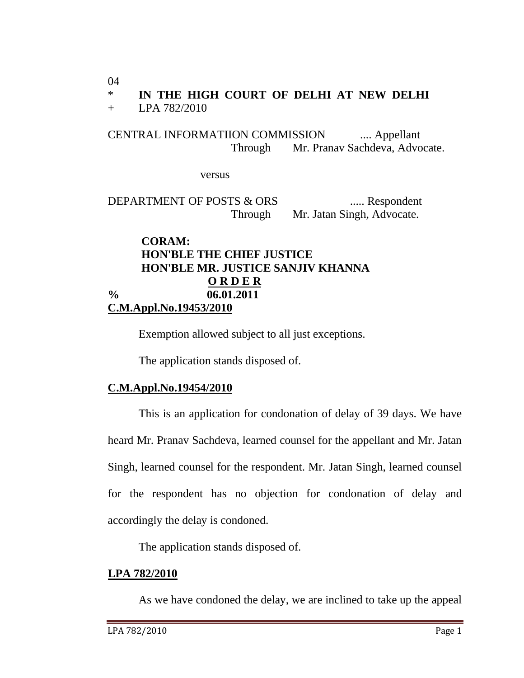04

# \* **IN THE HIGH COURT OF DELHI AT NEW DELHI**

+ LPA 782/2010

CENTRAL INFORMATIION COMMISSION .... Appellant Through Mr. Pranav Sachdeva, Advocate.

versus

DEPARTMENT OF POSTS & ORS ...... Respondent Through Mr. Jatan Singh, Advocate.

## **CORAM: HON'BLE THE CHIEF JUSTICE HON'BLE MR. JUSTICE SANJIV KHANNA O R D E R % 06.01.2011 C.M.Appl.No.19453/2010**

Exemption allowed subject to all just exceptions.

The application stands disposed of.

### **C.M.Appl.No.19454/2010**

This is an application for condonation of delay of 39 days. We have heard Mr. Pranav Sachdeva, learned counsel for the appellant and Mr. Jatan Singh, learned counsel for the respondent. Mr. Jatan Singh, learned counsel for the respondent has no objection for condonation of delay and accordingly the delay is condoned.

The application stands disposed of.

### **LPA 782/2010**

As we have condoned the delay, we are inclined to take up the appeal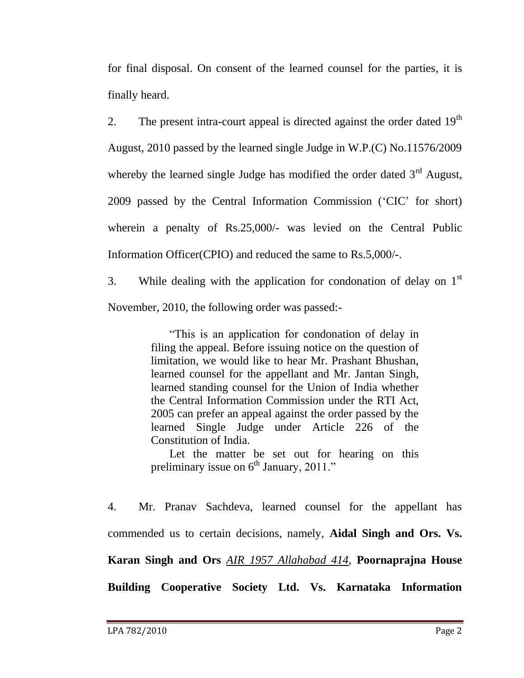for final disposal. On consent of the learned counsel for the parties, it is finally heard.

2. The present intra-court appeal is directed against the order dated  $19<sup>th</sup>$ August, 2010 passed by the learned single Judge in W.P.(C) No.11576/2009 whereby the learned single Judge has modified the order dated  $3<sup>rd</sup>$  August, 2009 passed by the Central Information Commission ("CIC" for short) wherein a penalty of Rs.25,000/- was levied on the Central Public Information Officer(CPIO) and reduced the same to Rs.5,000/-.

3. While dealing with the application for condonation of delay on  $1<sup>st</sup>$ November, 2010, the following order was passed:-

> "This is an application for condonation of delay in filing the appeal. Before issuing notice on the question of limitation, we would like to hear Mr. Prashant Bhushan, learned counsel for the appellant and Mr. Jantan Singh, learned standing counsel for the Union of India whether the Central Information Commission under the RTI Act, 2005 can prefer an appeal against the order passed by the learned Single Judge under Article 226 of the Constitution of India.

> Let the matter be set out for hearing on this preliminary issue on  $6<sup>th</sup>$  January, 2011."

4. Mr. Pranav Sachdeva, learned counsel for the appellant has commended us to certain decisions, namely, **Aidal Singh and Ors. Vs. Karan Singh and Ors** *AIR 1957 Allahabad 414*, **Poornaprajna House Building Cooperative Society Ltd. Vs. Karnataka Information**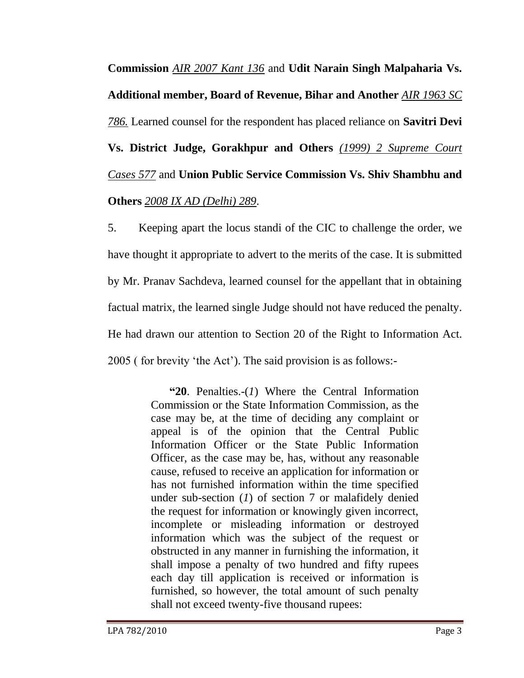**Commission** *AIR 2007 Kant 136* and **Udit Narain Singh Malpaharia Vs. Additional member, Board of Revenue, Bihar and Another** *AIR 1963 SC 786.* Learned counsel for the respondent has placed reliance on **Savitri Devi Vs. District Judge, Gorakhpur and Others** *(1999) 2 Supreme Court Cases 577* and **Union Public Service Commission Vs. Shiv Shambhu and Others** *2008 IX AD (Delhi) 289*.

5. Keeping apart the locus standi of the CIC to challenge the order, we have thought it appropriate to advert to the merits of the case. It is submitted by Mr. Pranav Sachdeva, learned counsel for the appellant that in obtaining factual matrix, the learned single Judge should not have reduced the penalty. He had drawn our attention to Section 20 of the Right to Information Act. 2005 ( for brevity "the Act"). The said provision is as follows:-

> **"20**. Penalties.-(*1*) Where the Central Information Commission or the State Information Commission, as the case may be, at the time of deciding any complaint or appeal is of the opinion that the Central Public Information Officer or the State Public Information Officer, as the case may be, has, without any reasonable cause, refused to receive an application for information or has not furnished information within the time specified under sub-section (*1*) of section 7 or malafidely denied the request for information or knowingly given incorrect, incomplete or misleading information or destroyed information which was the subject of the request or obstructed in any manner in furnishing the information, it shall impose a penalty of two hundred and fifty rupees each day till application is received or information is furnished, so however, the total amount of such penalty shall not exceed twenty-five thousand rupees: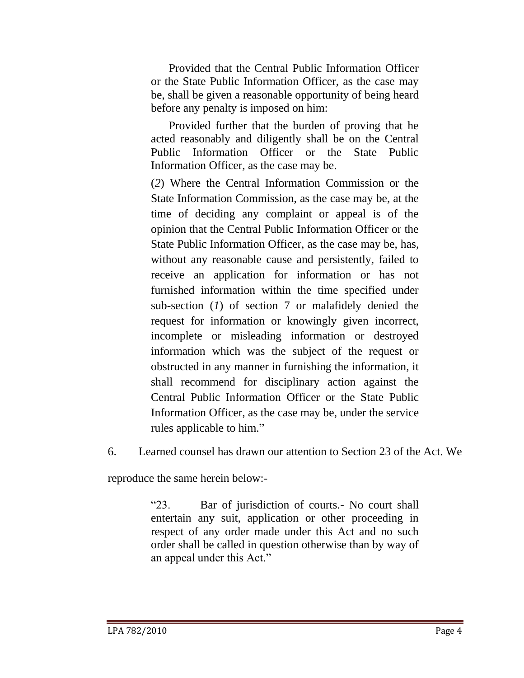Provided that the Central Public Information Officer or the State Public Information Officer, as the case may be, shall be given a reasonable opportunity of being heard before any penalty is imposed on him:

Provided further that the burden of proving that he acted reasonably and diligently shall be on the Central Public Information Officer or the State Public Information Officer, as the case may be.

(*2*) Where the Central Information Commission or the State Information Commission, as the case may be, at the time of deciding any complaint or appeal is of the opinion that the Central Public Information Officer or the State Public Information Officer, as the case may be, has, without any reasonable cause and persistently, failed to receive an application for information or has not furnished information within the time specified under sub-section (*1*) of section 7 or malafidely denied the request for information or knowingly given incorrect, incomplete or misleading information or destroyed information which was the subject of the request or obstructed in any manner in furnishing the information, it shall recommend for disciplinary action against the Central Public Information Officer or the State Public Information Officer, as the case may be, under the service rules applicable to him."

6. Learned counsel has drawn our attention to Section 23 of the Act. We

reproduce the same herein below:-

"23. Bar of jurisdiction of courts.- No court shall entertain any suit, application or other proceeding in respect of any order made under this Act and no such order shall be called in question otherwise than by way of an appeal under this Act."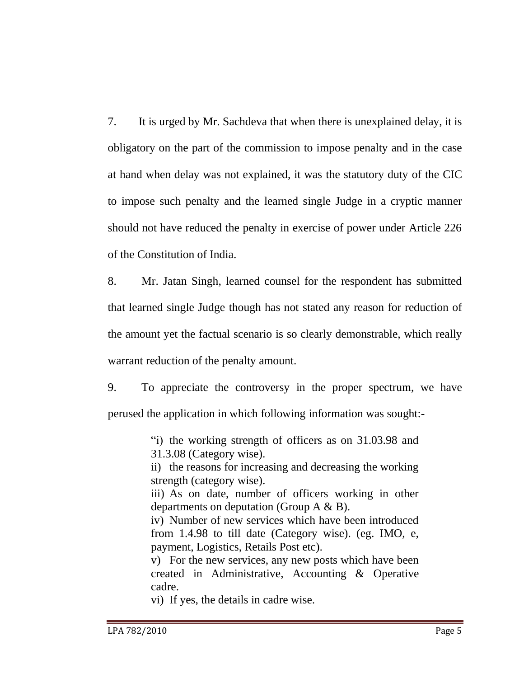7. It is urged by Mr. Sachdeva that when there is unexplained delay, it is obligatory on the part of the commission to impose penalty and in the case at hand when delay was not explained, it was the statutory duty of the CIC to impose such penalty and the learned single Judge in a cryptic manner should not have reduced the penalty in exercise of power under Article 226 of the Constitution of India.

8. Mr. Jatan Singh, learned counsel for the respondent has submitted that learned single Judge though has not stated any reason for reduction of the amount yet the factual scenario is so clearly demonstrable, which really warrant reduction of the penalty amount.

9. To appreciate the controversy in the proper spectrum, we have perused the application in which following information was sought:-

> "i) the working strength of officers as on 31.03.98 and 31.3.08 (Category wise).

> ii) the reasons for increasing and decreasing the working strength (category wise).

> iii) As on date, number of officers working in other departments on deputation (Group A & B).

> iv) Number of new services which have been introduced from 1.4.98 to till date (Category wise). (eg. IMO, e, payment, Logistics, Retails Post etc).

> v) For the new services, any new posts which have been created in Administrative, Accounting & Operative cadre.

vi) If yes, the details in cadre wise.